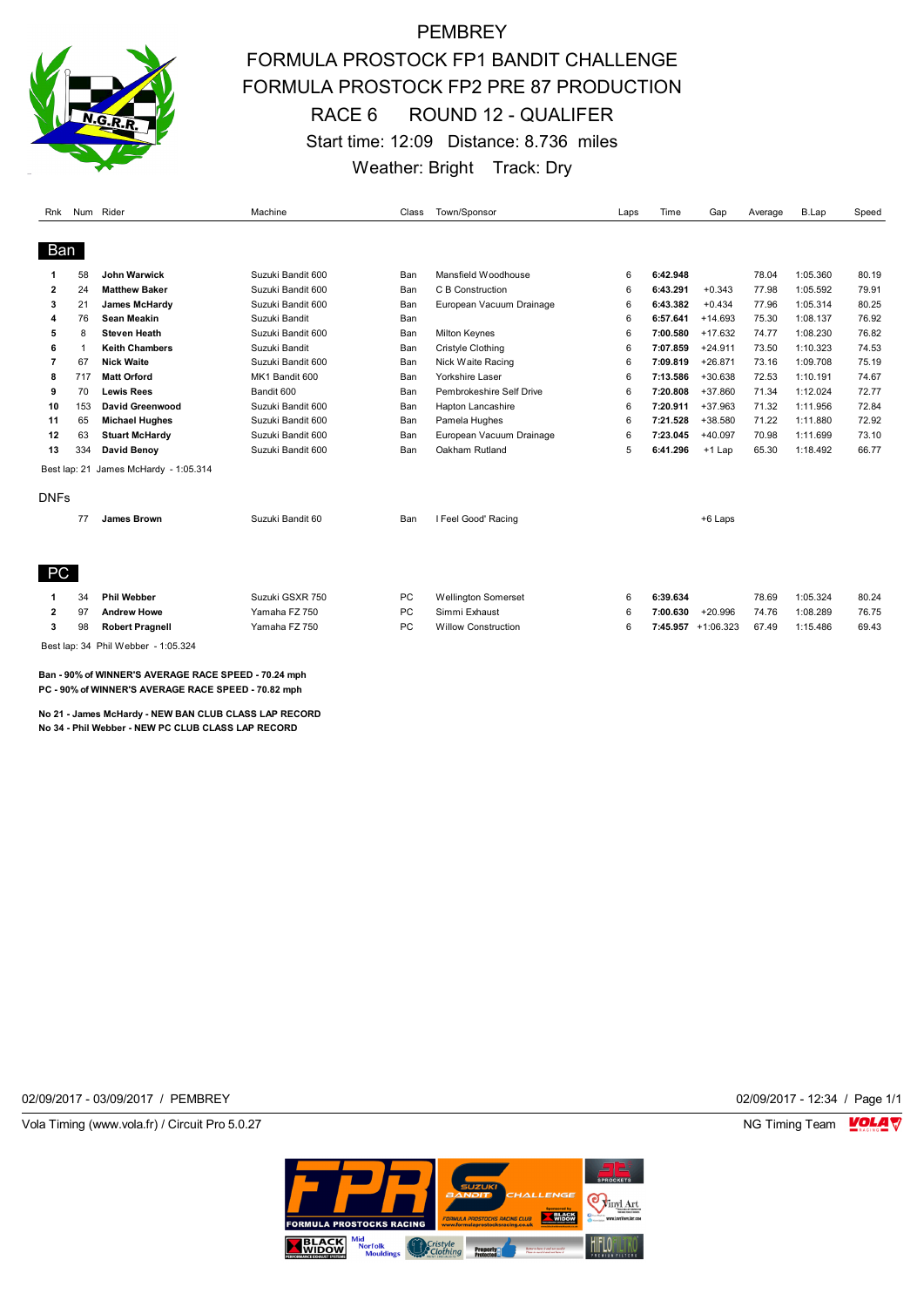

## **PEMBREY** FORMULA PROSTOCK FP1 BANDIT CHALLENGE FORMULA PROSTOCK FP2 PRE 87 PRODUCTION RACE 6 ROUND 12 - QUALIFER Start time: 12:09 Distance: 8.736 miles Weather: Bright Track: Dry

| Rnk          |     | Num Rider                           | Machine           | Class     | Town/Sponsor               | Laps | Time     | Gap                  | Average | B.Lap    | Speed |
|--------------|-----|-------------------------------------|-------------------|-----------|----------------------------|------|----------|----------------------|---------|----------|-------|
| Ban          |     |                                     |                   |           |                            |      |          |                      |         |          |       |
|              | 58  | <b>John Warwick</b>                 | Suzuki Bandit 600 | Ban       | Mansfield Woodhouse        | 6    | 6:42.948 |                      | 78.04   | 1:05.360 | 80.19 |
| $\mathbf{2}$ | 24  | <b>Matthew Baker</b>                | Suzuki Bandit 600 | Ban       | C B Construction           | 6    | 6:43.291 | $+0.343$             | 77.98   | 1:05.592 | 79.91 |
| 3            | 21  | James McHardy                       | Suzuki Bandit 600 | Ban       | European Vacuum Drainage   | 6    | 6:43.382 | $+0.434$             | 77.96   | 1:05.314 | 80.25 |
| 4            | 76  | <b>Sean Meakin</b>                  | Suzuki Bandit     | Ban       |                            | 6    | 6:57.641 | $+14.693$            | 75.30   | 1:08.137 | 76.92 |
| 5            | 8   | <b>Steven Heath</b>                 | Suzuki Bandit 600 | Ban       | <b>Milton Keynes</b>       | 6    | 7:00.580 | $+17.632$            | 74.77   | 1:08.230 | 76.82 |
| 6            | 1   | <b>Keith Chambers</b>               | Suzuki Bandit     | Ban       | Cristyle Clothing          | 6    | 7:07.859 | $+24.911$            | 73.50   | 1:10.323 | 74.53 |
| 7            | 67  | <b>Nick Waite</b>                   | Suzuki Bandit 600 | Ban       | Nick Waite Racing          | 6    | 7:09.819 | $+26.871$            | 73.16   | 1:09.708 | 75.19 |
| 8            | 717 | <b>Matt Orford</b>                  | MK1 Bandit 600    | Ban       | Yorkshire Laser            | 6    | 7:13.586 | $+30.638$            | 72.53   | 1:10.191 | 74.67 |
| 9            | 70  | <b>Lewis Rees</b>                   | Bandit 600        | Ban       | Pembrokeshire Self Drive   | 6    | 7:20.808 | $+37.860$            | 71.34   | 1:12.024 | 72.77 |
| 10           | 153 | David Greenwood                     | Suzuki Bandit 600 | Ban       | Hapton Lancashire          | 6    | 7:20.911 | $+37.963$            | 71.32   | 1:11.956 | 72.84 |
| 11           | 65  | <b>Michael Hughes</b>               | Suzuki Bandit 600 | Ban       | Pamela Hughes              | 6    | 7:21.528 | +38.580              | 71.22   | 1:11.880 | 72.92 |
| 12           | 63  | <b>Stuart McHardy</b>               | Suzuki Bandit 600 | Ban       | European Vacuum Drainage   | 6    | 7:23.045 | $+40.097$            | 70.98   | 1:11.699 | 73.10 |
| 13           | 334 | David Benoy                         | Suzuki Bandit 600 | Ban       | Oakham Rutland             | 5    | 6:41.296 | $+1$ Lap             | 65.30   | 1:18.492 | 66.77 |
| Best lap: 21 |     | James McHardy - 1:05.314            |                   |           |                            |      |          |                      |         |          |       |
| <b>DNFs</b>  |     |                                     |                   |           |                            |      |          |                      |         |          |       |
|              | 77  | James Brown                         | Suzuki Bandit 60  | Ban       | I Feel Good' Racing        |      |          | +6 Laps              |         |          |       |
| PC           |     |                                     |                   |           |                            |      |          |                      |         |          |       |
| 1            | 34  | <b>Phil Webber</b>                  | Suzuki GSXR 750   | <b>PC</b> | <b>Wellington Somerset</b> | 6    | 6:39.634 |                      | 78.69   | 1:05.324 | 80.24 |
| 2            | 97  | <b>Andrew Howe</b>                  | Yamaha FZ 750     | PC        | Simmi Exhaust              | 6    | 7:00.630 | $+20.996$            | 74.76   | 1:08.289 | 76.75 |
| 3            | 98  | <b>Robert Pragnell</b>              | Yamaha FZ 750     | PC        | <b>Willow Construction</b> | 6    |          | $7:45.957 +1:06.323$ | 67.49   | 1:15.486 | 69.43 |
|              |     | Best lap: 34 Phil Webber - 1:05.324 |                   |           |                            |      |          |                      |         |          |       |

**Ban - 90% of WINNER'S AVERAGE RACE SPEED - 70.24 mph PC - 90% of WINNER'S AVERAGE RACE SPEED - 70.82 mph**

**No 21 - James McHardy - NEW BAN CLUB CLASS LAP RECORD No 34 - Phil Webber - NEW PC CLUB CLASS LAP RECORD**

02/09/2017 - 03/09/2017 / PEMBREY 02/09/2017 - 12:34 / Page 1/1

Vola Timing (www.vola.fr) / Circuit Pro 5.0.27 NG Timing Team NG Timing Team NG Timing Team NG Timing Team NG

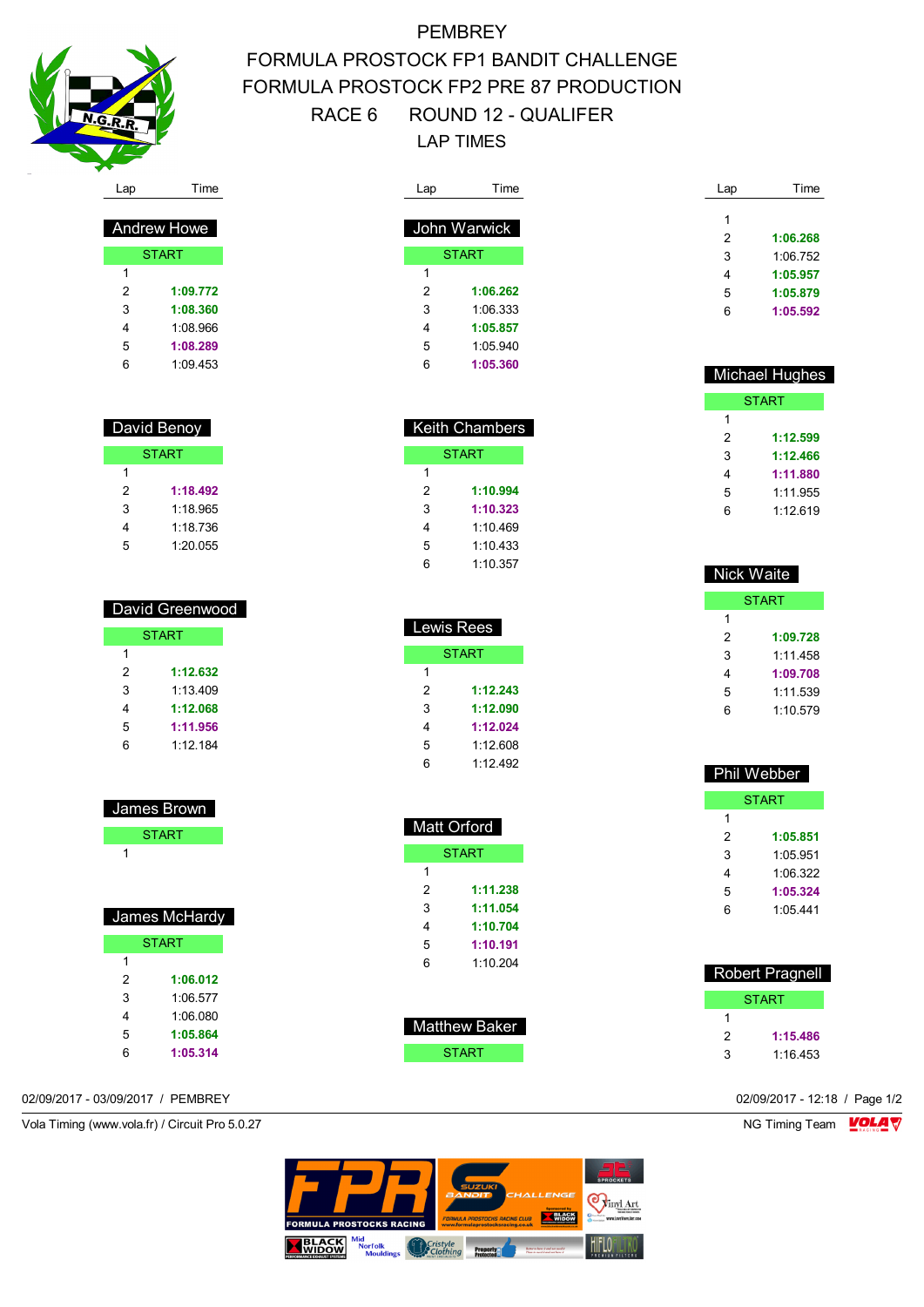

## **PEMBREY** FORMULA PROSTOCK FP1 BANDIT CHALLENGE FORMULA PROSTOCK FP2 PRE 87 PRODUCTION RACE 6 ROUND 12 - QUALIFER LAP TIMES

| Lap            | Time         |
|----------------|--------------|
|                |              |
|                | John Warwick |
|                | <b>START</b> |
| 1              |              |
| $\overline{2}$ | 1:06.262     |
| 3              | 1:06.333     |
| 4              | 1:05.857     |
| 5              | 1:05.940     |
| 6              | 1:05.360     |

| Keith Chambers |          |  |  |  |
|----------------|----------|--|--|--|
| START          |          |  |  |  |
| 1              |          |  |  |  |
| 2              | 1:10.994 |  |  |  |
| 3              | 1:10.323 |  |  |  |
| 4              | 1.10469  |  |  |  |
| 5              | 1:10.433 |  |  |  |
| 6              | 1:10.357 |  |  |  |

| Lewis Rees   |          |  |  |  |  |
|--------------|----------|--|--|--|--|
| <b>START</b> |          |  |  |  |  |
| 1            |          |  |  |  |  |
| 2            | 1:12.243 |  |  |  |  |
| 3            | 1:12.090 |  |  |  |  |
| 4            | 1:12.024 |  |  |  |  |
| 5            | 1:12.608 |  |  |  |  |
| 6            | 1:12.492 |  |  |  |  |

| <b>Matt Orford</b> |          |  |  |  |
|--------------------|----------|--|--|--|
| <b>START</b>       |          |  |  |  |
| 1                  |          |  |  |  |
| 2                  | 1:11.238 |  |  |  |
| 3                  | 1:11.054 |  |  |  |
| 4                  | 1:10.704 |  |  |  |
| 5                  | 1:10.191 |  |  |  |
| հ                  | 1:10.204 |  |  |  |

| Matthew Baker |  |
|---------------|--|
| START         |  |

| Lap | Time     |
|-----|----------|
| 1   |          |
|     |          |
| 2   | 1:06.268 |
| 3   | 1:06.752 |
| 4   | 1:05.957 |
| 5   | 1:05.879 |
| հ   | 1:05.592 |

| Michael Hughes |          |  |  |  |
|----------------|----------|--|--|--|
| <b>START</b>   |          |  |  |  |
| 1              |          |  |  |  |
| 2              | 1:12.599 |  |  |  |
| 3              | 1:12.466 |  |  |  |
| 4              | 1:11.880 |  |  |  |
| 5              | 1.11955  |  |  |  |
| հ              | 1:12.619 |  |  |  |
|                |          |  |  |  |

| Nick Waite |          |  |  |  |
|------------|----------|--|--|--|
|            | START    |  |  |  |
| 1          |          |  |  |  |
| 2          | 1:09.728 |  |  |  |
| 3          | 1.11458  |  |  |  |
| 4          | 1:09.708 |  |  |  |
| 5          | 1:11.539 |  |  |  |
| հ          | 1.10.579 |  |  |  |

|              | <b>Phil Webber</b> |  |  |
|--------------|--------------------|--|--|
| <b>START</b> |                    |  |  |
| 1            |                    |  |  |
| 2            | 1:05.851           |  |  |
| 3            | 1 05 951           |  |  |
| 4            | 1:06.322           |  |  |
| 5            | 1:05.324           |  |  |
| 6            | 1:05.441           |  |  |
|              |                    |  |  |

| <b>Robert Pragnell</b> |          |  |  |
|------------------------|----------|--|--|
| START                  |          |  |  |
|                        |          |  |  |
| 2                      | 1:15.486 |  |  |
| 3                      | 1.16453  |  |  |

Andrew Howe

|              | <u>Aliulew Liowe</u> |  |  |  |  |
|--------------|----------------------|--|--|--|--|
| <b>START</b> |                      |  |  |  |  |
| 1            |                      |  |  |  |  |
| 2            | 1:09.772             |  |  |  |  |
| 3            | 1:08.360             |  |  |  |  |
| 4            | 1:08.966             |  |  |  |  |
| 5            | 1:08.289             |  |  |  |  |
| 6            | 1:09.453             |  |  |  |  |
|              |                      |  |  |  |  |

| David Benoy  |          |  |  |  |  |  |  |
|--------------|----------|--|--|--|--|--|--|
| <b>START</b> |          |  |  |  |  |  |  |
| 1            |          |  |  |  |  |  |  |
| 2            | 1:18.492 |  |  |  |  |  |  |
| 3            | 1:18.965 |  |  |  |  |  |  |
| 4            | 1 18 736 |  |  |  |  |  |  |
| 5            | 1:20.055 |  |  |  |  |  |  |

| David Greenwood |              |  |  |  |  |  |  |
|-----------------|--------------|--|--|--|--|--|--|
|                 | <b>START</b> |  |  |  |  |  |  |
|                 |              |  |  |  |  |  |  |
| 2               | 1:12.632     |  |  |  |  |  |  |
| 3               | 1.13409      |  |  |  |  |  |  |
|                 | 1:12.068     |  |  |  |  |  |  |

| 5 | 1:11.956 |
|---|----------|
| 6 | 1:12.184 |
|   |          |
|   |          |

James Brown

|   | <b>START</b>  |
|---|---------------|
| 1 |               |
|   |               |
|   |               |
|   | James McHardy |
|   | <b>START</b>  |
| 1 |               |
| 2 | 1:06.012      |
| 3 | 1:06.577      |
| 4 | 1:06.080      |
| 5 | 1:05.864      |
| 6 | 1:05.314      |

02/09/2017 - 03/09/2017 / PEMBREY 02/09/2017 - 12:18 / Page 1/2

Vola Timing (www.vola.fr) / Circuit Pro 5.0.27 **NG Timing Team MOLA View Area** NG Timing Team MOLA View Area NG Timing Team MOLA View Area NG Timing Team MOLA View Area NG Timing Team MOLA View Area NG Timing Team MOLA Vie

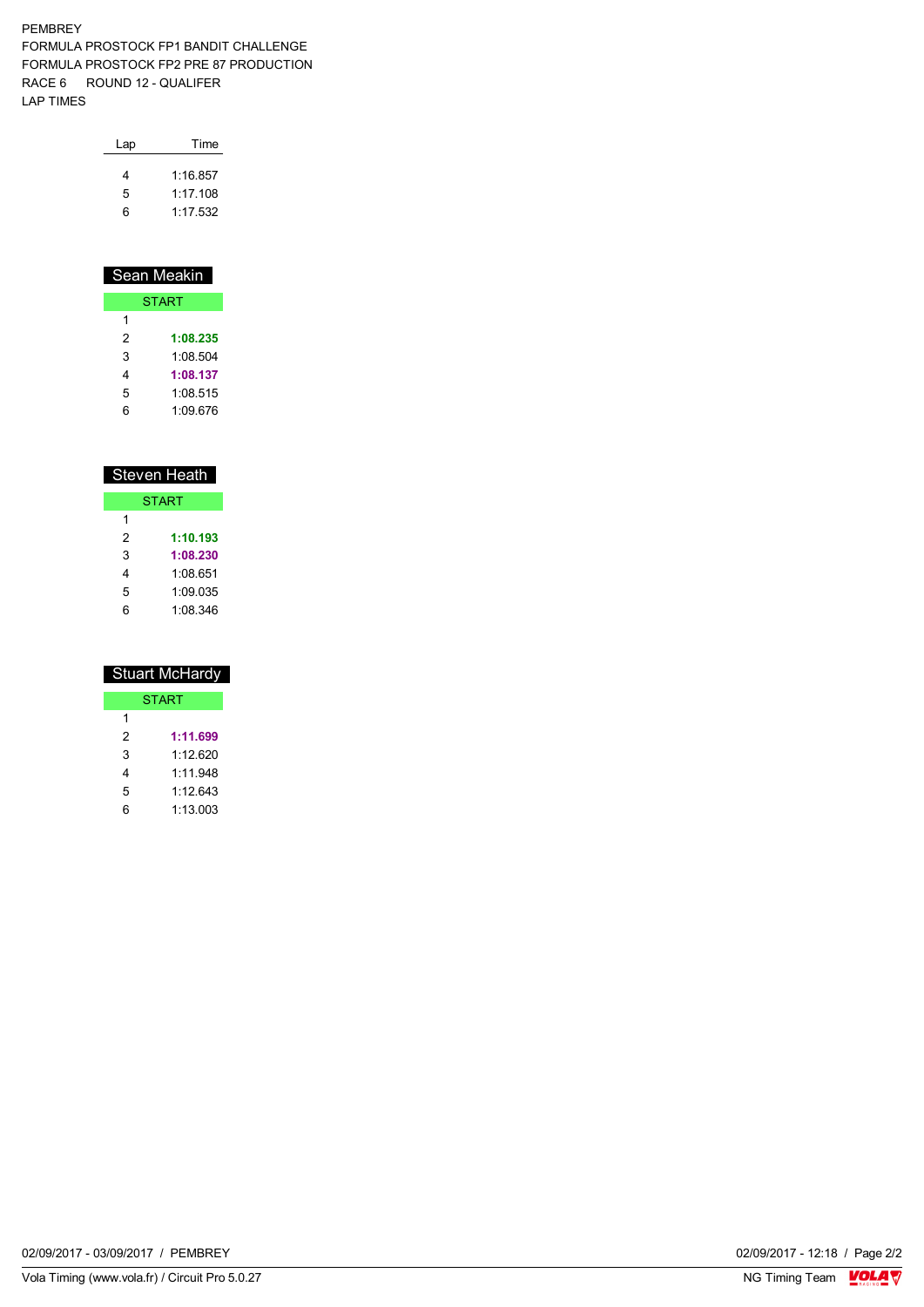## PEMBREY FORMULA PROSTOCK FP1 BANDIT CHALLENGE FORMULA PROSTOCK FP2 PRE 87 PRODUCTION RACE 6 ROUND 12 - QUALIFER LAP TIMES

| Lap | Time     |
|-----|----------|
| 4   | 1.16857  |
| 5   | 1.17108  |
| ิค  | 1.17.532 |

| Sean Meakin  |          |  |  |  |  |  |  |
|--------------|----------|--|--|--|--|--|--|
| <b>START</b> |          |  |  |  |  |  |  |
| 1            |          |  |  |  |  |  |  |
| 2            | 1:08.235 |  |  |  |  |  |  |
| 3            | 1.08.504 |  |  |  |  |  |  |
| 4            | 1:08.137 |  |  |  |  |  |  |
| 5            | 1:08.515 |  |  |  |  |  |  |
|              | 1:09.676 |  |  |  |  |  |  |

| <b>Steven Heath</b> |          |  |  |  |  |  |  |
|---------------------|----------|--|--|--|--|--|--|
| <b>START</b>        |          |  |  |  |  |  |  |
| 1                   |          |  |  |  |  |  |  |
| 2                   | 1:10.193 |  |  |  |  |  |  |
| 3                   | 1:08.230 |  |  |  |  |  |  |
| 4                   | 1:08.651 |  |  |  |  |  |  |
| 5                   | 1.09035  |  |  |  |  |  |  |
| հ                   | 1:08.346 |  |  |  |  |  |  |

| Stuart McHardy |          |  |  |  |  |  |  |
|----------------|----------|--|--|--|--|--|--|
| <b>START</b>   |          |  |  |  |  |  |  |
| 1              |          |  |  |  |  |  |  |
| 2              | 1:11.699 |  |  |  |  |  |  |
| 3              | 1.12620  |  |  |  |  |  |  |
| 4              | 1.11.948 |  |  |  |  |  |  |
| 5              | 1.12 643 |  |  |  |  |  |  |
| ჩ              | 1:13.003 |  |  |  |  |  |  |

02/09/2017 - 03/09/2017 / PEMBREY

Vola Timing (www.vola.fr) / Circuit Pro 5.0.27

02/09/2017 - 12:18 / Page 2/2<br>NG Timing Team  $\sqrt{\text{OLA}}$